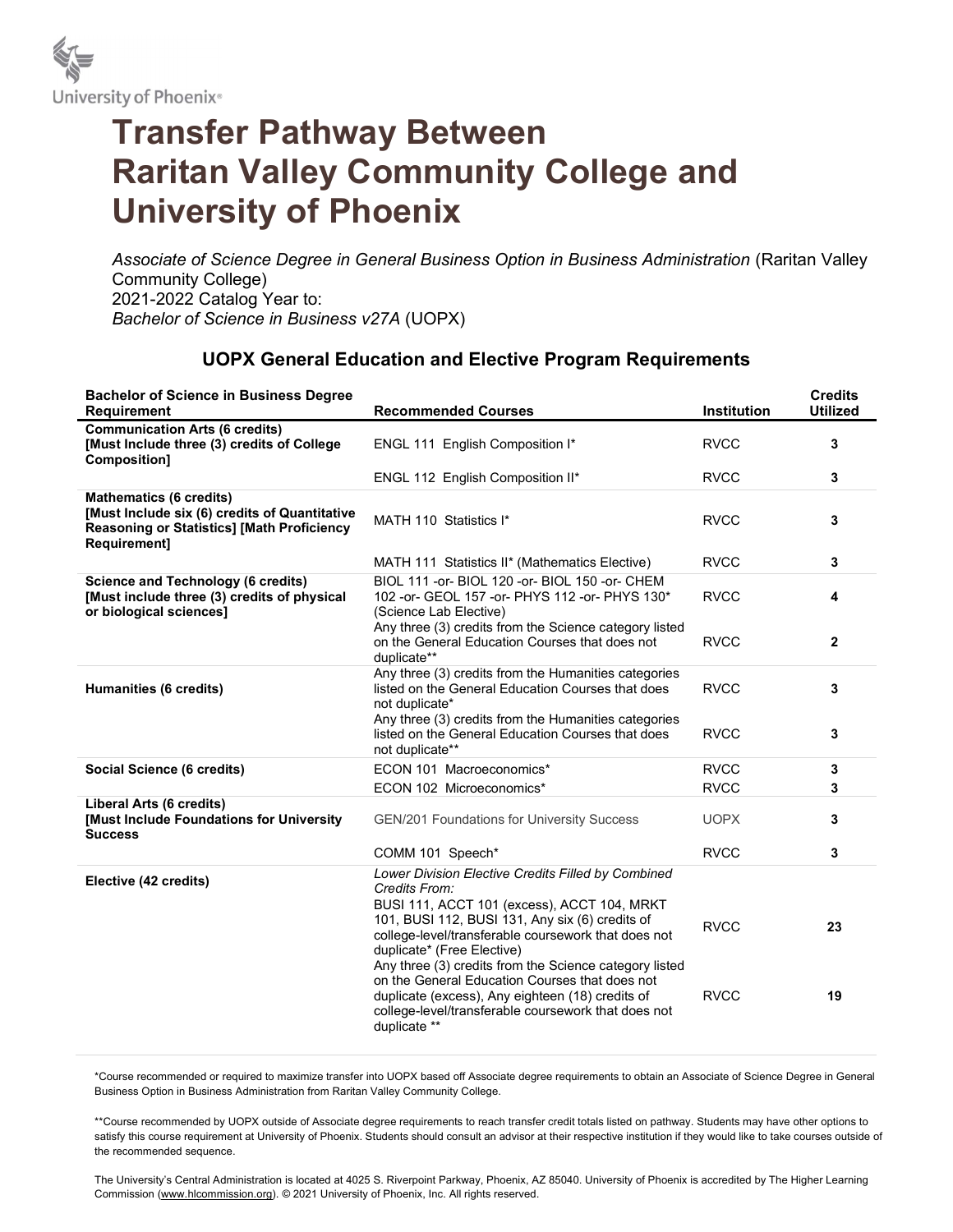

## Transfer Pathway Between Raritan Valley Community College and University of Phoenix

Associate of Science Degree in General Business Option in Business Administration (Raritan Valley Community College) 2021-2022 Catalog Year to: Bachelor of Science in Business v27A (UOPX)

## UOPX General Education and Elective Program Requirements

| <b>Bachelor of Science in Business Degree</b><br><b>Requirement</b>                                                                                         | <b>Recommended Courses</b>                                                                                                                                                                                                                                                                                                                                                                                                                                                                        | Institution                | <b>Credits</b><br><b>Utilized</b> |
|-------------------------------------------------------------------------------------------------------------------------------------------------------------|---------------------------------------------------------------------------------------------------------------------------------------------------------------------------------------------------------------------------------------------------------------------------------------------------------------------------------------------------------------------------------------------------------------------------------------------------------------------------------------------------|----------------------------|-----------------------------------|
| <b>Communication Arts (6 credits)</b><br>[Must Include three (3) credits of College<br>Composition]                                                         | ENGL 111 English Composition I*                                                                                                                                                                                                                                                                                                                                                                                                                                                                   | <b>RVCC</b>                | 3                                 |
|                                                                                                                                                             | ENGL 112 English Composition II*                                                                                                                                                                                                                                                                                                                                                                                                                                                                  | <b>RVCC</b>                | 3                                 |
| <b>Mathematics (6 credits)</b><br>[Must Include six (6) credits of Quantitative<br><b>Reasoning or Statistics] [Math Proficiency</b><br><b>Requirement1</b> | MATH 110 Statistics I*                                                                                                                                                                                                                                                                                                                                                                                                                                                                            | <b>RVCC</b>                | 3                                 |
|                                                                                                                                                             | MATH 111 Statistics II* (Mathematics Elective)                                                                                                                                                                                                                                                                                                                                                                                                                                                    | <b>RVCC</b>                | 3                                 |
| <b>Science and Technology (6 credits)</b><br>[Must include three (3) credits of physical<br>or biological sciences]                                         | BIOL 111 - or - BIOL 120 - or - BIOL 150 - or - CHEM<br>102 - or - GEOL 157 - or - PHYS 112 - or - PHYS 130*<br>(Science Lab Elective)                                                                                                                                                                                                                                                                                                                                                            | <b>RVCC</b>                | 4                                 |
|                                                                                                                                                             | Any three (3) credits from the Science category listed<br>on the General Education Courses that does not<br>duplicate**                                                                                                                                                                                                                                                                                                                                                                           | <b>RVCC</b>                | $\mathbf{2}$                      |
| Humanities (6 credits)                                                                                                                                      | Any three (3) credits from the Humanities categories<br>listed on the General Education Courses that does<br>not duplicate*<br>Any three (3) credits from the Humanities categories                                                                                                                                                                                                                                                                                                               | <b>RVCC</b>                | 3                                 |
|                                                                                                                                                             | listed on the General Education Courses that does<br>not duplicate**                                                                                                                                                                                                                                                                                                                                                                                                                              | <b>RVCC</b>                | 3                                 |
| Social Science (6 credits)                                                                                                                                  | ECON 101 Macroeconomics*                                                                                                                                                                                                                                                                                                                                                                                                                                                                          | <b>RVCC</b>                | 3                                 |
|                                                                                                                                                             | ECON 102 Microeconomics*                                                                                                                                                                                                                                                                                                                                                                                                                                                                          | <b>RVCC</b>                | 3                                 |
| Liberal Arts (6 credits)<br>[Must Include Foundations for University<br><b>Success</b>                                                                      | GEN/201 Foundations for University Success                                                                                                                                                                                                                                                                                                                                                                                                                                                        | <b>UOPX</b>                | 3                                 |
|                                                                                                                                                             | COMM 101 Speech*                                                                                                                                                                                                                                                                                                                                                                                                                                                                                  | <b>RVCC</b>                | 3                                 |
| Elective (42 credits)                                                                                                                                       | Lower Division Elective Credits Filled by Combined<br>Credits From:<br>BUSI 111, ACCT 101 (excess), ACCT 104, MRKT<br>101, BUSI 112, BUSI 131, Any six (6) credits of<br>college-level/transferable coursework that does not<br>duplicate* (Free Elective)<br>Any three (3) credits from the Science category listed<br>on the General Education Courses that does not<br>duplicate (excess), Any eighteen (18) credits of<br>college-level/transferable coursework that does not<br>duplicate ** | <b>RVCC</b><br><b>RVCC</b> | 23<br>19                          |
|                                                                                                                                                             |                                                                                                                                                                                                                                                                                                                                                                                                                                                                                                   |                            |                                   |

\*Course recommended or required to maximize transfer into UOPX based off Associate degree requirements to obtain an Associate of Science Degree in General Business Option in Business Administration from Raritan Valley Community College.

\*\*Course recommended by UOPX outside of Associate degree requirements to reach transfer credit totals listed on pathway. Students may have other options to satisfy this course requirement at University of Phoenix. Students should consult an advisor at their respective institution if they would like to take courses outside of the recommended sequence.

The University's Central Administration is located at 4025 S. Riverpoint Parkway, Phoenix, AZ 85040. University of Phoenix is accredited by The Higher Learning Commission (www.hlcommission.org). © 2021 University of Phoenix, Inc. All rights reserved.